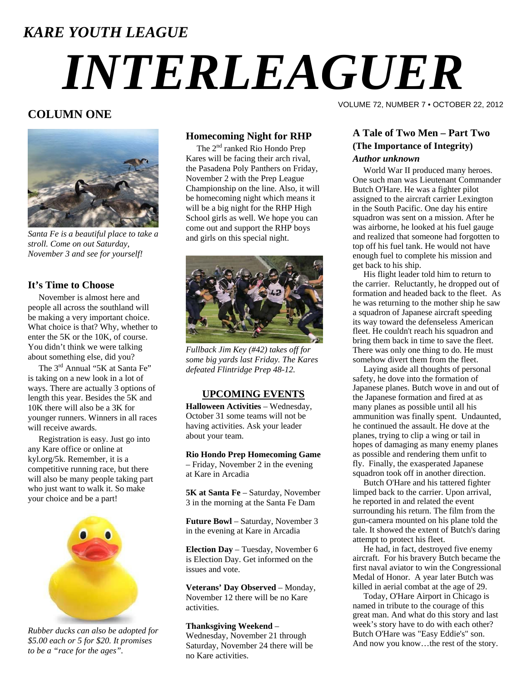# *KARE YOUTH LEAGUE*

# *INTERLEAGUER*

### **COLUMN ONE**



*Santa Fe is a beautiful place to take a stroll. Come on out Saturday, November 3 and see for yourself!* 

#### **It's Time to Choose**

 November is almost here and people all across the southland will be making a very important choice. What choice is that? Why, whether to enter the 5K or the 10K, of course. You didn't think we were talking about something else, did you?

The 3<sup>rd</sup> Annual "5K at Santa Fe" is taking on a new look in a lot of ways. There are actually 3 options of length this year. Besides the 5K and 10K there will also be a 3K for younger runners. Winners in all races will receive awards.

 Registration is easy. Just go into any Kare office or online at kyl.org/5k. Remember, it is a competitive running race, but there will also be many people taking part who just want to walk it. So make your choice and be a part!



*Rubber ducks can also be adopted for \$5.00 each or 5 for \$20. It promises to be a "race for the ages".* 

#### **Homecoming Night for RHP**

The 2<sup>nd</sup> ranked Rio Hondo Prep Kares will be facing their arch rival, the Pasadena Poly Panthers on Friday, November 2 with the Prep League Championship on the line. Also, it will be homecoming night which means it will be a big night for the RHP High School girls as well. We hope you can come out and support the RHP boys and girls on this special night.



*Fullback Jim Key (#42) takes off for some big yards last Friday. The Kares defeated Flintridge Prep 48-12.* 

#### **UPCOMING EVENTS**

**Halloween Activities** – Wednesday, October 31 some teams will not be having activities. Ask your leader about your team.

**Rio Hondo Prep Homecoming Game** – Friday, November 2 in the evening at Kare in Arcadia

**5K at Santa Fe** – Saturday, November 3 in the morning at the Santa Fe Dam

**Future Bowl** – Saturday, November 3 in the evening at Kare in Arcadia

**Election Day** – Tuesday, November 6 is Election Day. Get informed on the issues and vote.

**Veterans' Day Observed** – Monday, November 12 there will be no Kare activities.

#### **Thanksgiving Weekend** – Wednesday, November 21 through Saturday, November 24 there will be no Kare activities.

VOLUME 72, NUMBER 7 • OCTOBER 22, 2012

#### **A Tale of Two Men – Part Two (The Importance of Integrity)**  *Author unknown*

 World War II produced many heroes. One such man was Lieutenant Commander Butch O'Hare. He was a fighter pilot assigned to the aircraft carrier Lexington in the South Pacific. One day his entire squadron was sent on a mission. After he was airborne, he looked at his fuel gauge and realized that someone had forgotten to top off his fuel tank. He would not have enough fuel to complete his mission and get back to his ship.

 His flight leader told him to return to the carrier. Reluctantly, he dropped out of formation and headed back to the fleet. As he was returning to the mother ship he saw a squadron of Japanese aircraft speeding its way toward the defenseless American fleet. He couldn't reach his squadron and bring them back in time to save the fleet. There was only one thing to do. He must somehow divert them from the fleet.

 Laying aside all thoughts of personal safety, he dove into the formation of Japanese planes. Butch wove in and out of the Japanese formation and fired at as many planes as possible until all his ammunition was finally spent. Undaunted, he continued the assault. He dove at the planes, trying to clip a wing or tail in hopes of damaging as many enemy planes as possible and rendering them unfit to fly. Finally, the exasperated Japanese squadron took off in another direction.

 Butch O'Hare and his tattered fighter limped back to the carrier. Upon arrival, he reported in and related the event surrounding his return. The film from the gun-camera mounted on his plane told the tale. It showed the extent of Butch's daring attempt to protect his fleet.

 He had, in fact, destroyed five enemy aircraft. For his bravery Butch became the first naval aviator to win the Congressional Medal of Honor. A year later Butch was killed in aerial combat at the age of 29.

 Today, O'Hare Airport in Chicago is named in tribute to the courage of this great man. And what do this story and last week's story have to do with each other? Butch O'Hare was "Easy Eddie's" son. And now you know…the rest of the story.